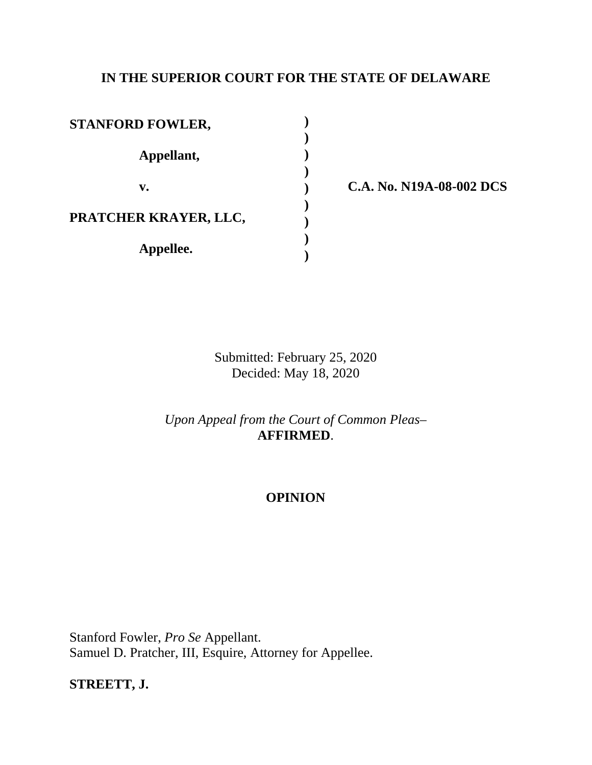## **IN THE SUPERIOR COURT FOR THE STATE OF DELAWARE**

| <b>STANFORD FOWLER,</b> |  |
|-------------------------|--|
| Appellant,              |  |
| $\mathbf{v}_{\bullet}$  |  |
| PRATCHER KRAYER, LLC,   |  |
| Appellee.               |  |

**v. C.A. No. N19A-08-002 DCS**

Submitted: February 25, 2020 Decided: May 18, 2020

*Upon Appeal from the Court of Common Pleas*– **AFFIRMED**.

# **OPINION**

Stanford Fowler, *Pro Se* Appellant. Samuel D. Pratcher, III, Esquire, Attorney for Appellee.

**STREETT, J.**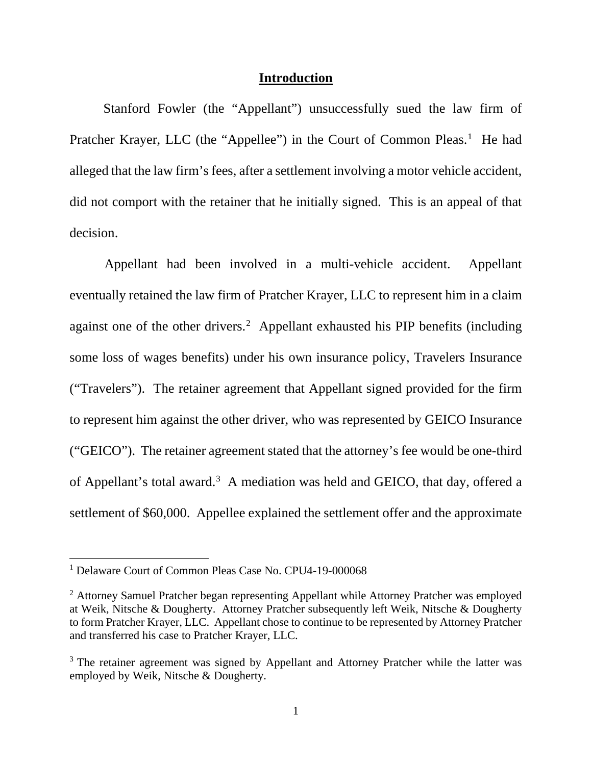#### **Introduction**

 Stanford Fowler (the "Appellant") unsuccessfully sued the law firm of Pratcher Krayer, LLC (the "Appellee") in the Court of Common Pleas.<sup>[1](#page-1-0)</sup> He had alleged that the law firm's fees, after a settlement involving a motor vehicle accident, did not comport with the retainer that he initially signed. This is an appeal of that decision.

Appellant had been involved in a multi-vehicle accident. Appellant eventually retained the law firm of Pratcher Krayer, LLC to represent him in a claim against one of the other drivers. [2](#page-1-1) Appellant exhausted his PIP benefits (including some loss of wages benefits) under his own insurance policy, Travelers Insurance ("Travelers"). The retainer agreement that Appellant signed provided for the firm to represent him against the other driver, who was represented by GEICO Insurance ("GEICO"). The retainer agreement stated that the attorney's fee would be one-third of Appellant's total award.<sup>[3](#page-1-2)</sup> A mediation was held and GEICO, that day, offered a settlement of \$60,000. Appellee explained the settlement offer and the approximate

<span id="page-1-0"></span><sup>&</sup>lt;sup>1</sup> Delaware Court of Common Pleas Case No. CPU4-19-000068

<span id="page-1-1"></span><sup>&</sup>lt;sup>2</sup> Attorney Samuel Pratcher began representing Appellant while Attorney Pratcher was employed at Weik, Nitsche & Dougherty. Attorney Pratcher subsequently left Weik, Nitsche & Dougherty to form Pratcher Krayer, LLC. Appellant chose to continue to be represented by Attorney Pratcher and transferred his case to Pratcher Krayer, LLC.

<span id="page-1-2"></span><sup>&</sup>lt;sup>3</sup> The retainer agreement was signed by Appellant and Attorney Pratcher while the latter was employed by Weik, Nitsche & Dougherty.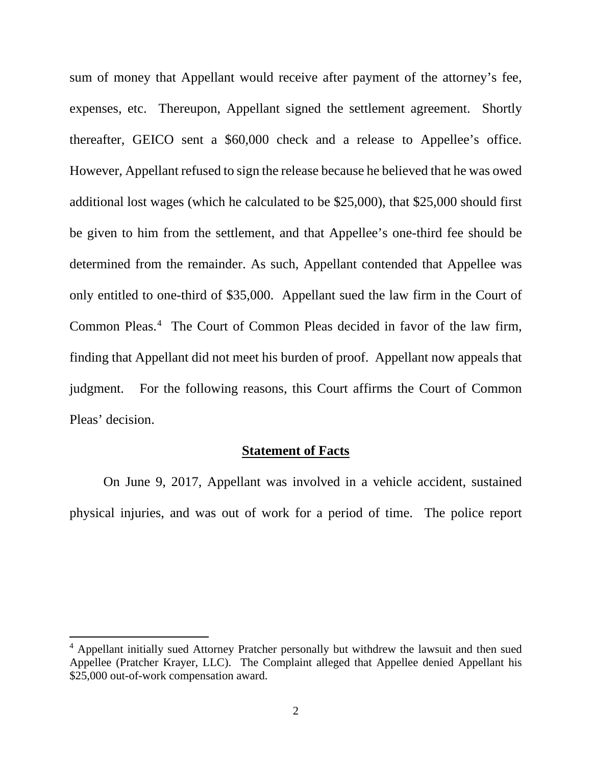sum of money that Appellant would receive after payment of the attorney's fee, expenses, etc. Thereupon, Appellant signed the settlement agreement. Shortly thereafter, GEICO sent a \$60,000 check and a release to Appellee's office. However, Appellant refused to sign the release because he believed that he was owed additional lost wages (which he calculated to be \$25,000), that \$25,000 should first be given to him from the settlement, and that Appellee's one-third fee should be determined from the remainder. As such, Appellant contended that Appellee was only entitled to one-third of \$35,000. Appellant sued the law firm in the Court of Common Pleas.[4](#page-2-0) The Court of Common Pleas decided in favor of the law firm, finding that Appellant did not meet his burden of proof. Appellant now appeals that judgment. For the following reasons, this Court affirms the Court of Common Pleas' decision.

# **Statement of Facts**

 On June 9, 2017, Appellant was involved in a vehicle accident, sustained physical injuries, and was out of work for a period of time. The police report

 $\overline{a}$ 

<span id="page-2-0"></span><sup>&</sup>lt;sup>4</sup> Appellant initially sued Attorney Pratcher personally but withdrew the lawsuit and then sued Appellee (Pratcher Krayer, LLC). The Complaint alleged that Appellee denied Appellant his \$25,000 out-of-work compensation award.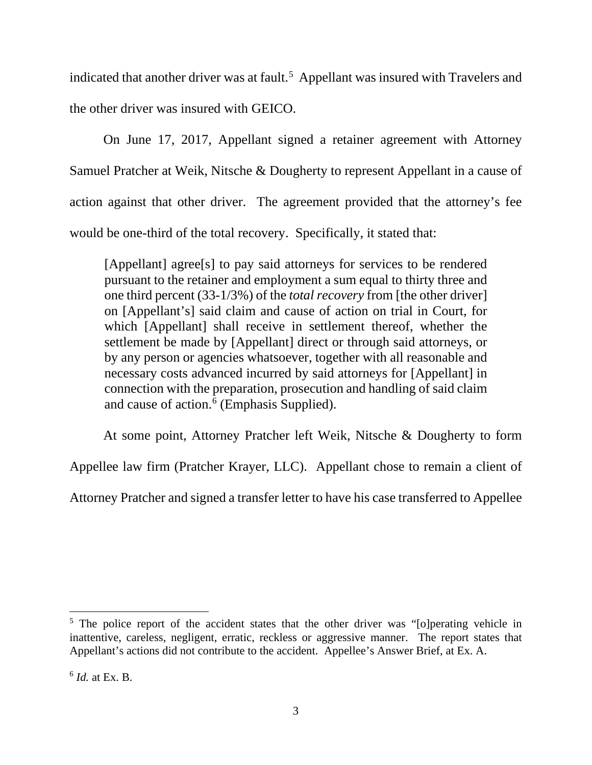indicated that another driver was at fault.<sup>[5](#page-3-0)</sup> Appellant was insured with Travelers and the other driver was insured with GEICO.

 On June 17, 2017, Appellant signed a retainer agreement with Attorney Samuel Pratcher at Weik, Nitsche & Dougherty to represent Appellant in a cause of action against that other driver. The agreement provided that the attorney's fee would be one-third of the total recovery. Specifically, it stated that:

[Appellant] agree<sup>[s]</sup> to pay said attorneys for services to be rendered pursuant to the retainer and employment a sum equal to thirty three and one third percent (33-1/3%) of the *total recovery* from [the other driver] on [Appellant's] said claim and cause of action on trial in Court, for which [Appellant] shall receive in settlement thereof, whether the settlement be made by [Appellant] direct or through said attorneys, or by any person or agencies whatsoever, together with all reasonable and necessary costs advanced incurred by said attorneys for [Appellant] in connection with the preparation, prosecution and handling of said claim and cause of action.<sup>[6](#page-3-1)</sup> (Emphasis Supplied).

At some point, Attorney Pratcher left Weik, Nitsche & Dougherty to form

Appellee law firm (Pratcher Krayer, LLC). Appellant chose to remain a client of

Attorney Pratcher and signed a transfer letter to have his case transferred to Appellee

<span id="page-3-0"></span><sup>&</sup>lt;sup>5</sup> The police report of the accident states that the other driver was "[o]perating vehicle in inattentive, careless, negligent, erratic, reckless or aggressive manner. The report states that Appellant's actions did not contribute to the accident. Appellee's Answer Brief, at Ex. A.

<span id="page-3-1"></span><sup>6</sup> *Id.* at Ex. B.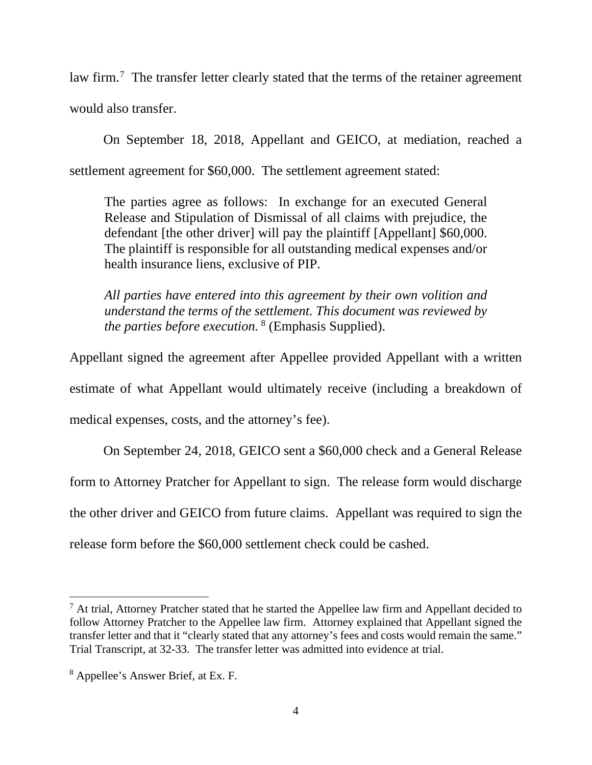law firm.<sup>[7](#page-4-0)</sup> The transfer letter clearly stated that the terms of the retainer agreement would also transfer.

 On September 18, 2018, Appellant and GEICO, at mediation, reached a settlement agreement for \$60,000. The settlement agreement stated:

The parties agree as follows: In exchange for an executed General Release and Stipulation of Dismissal of all claims with prejudice, the defendant [the other driver] will pay the plaintiff [Appellant] \$60,000. The plaintiff is responsible for all outstanding medical expenses and/or health insurance liens, exclusive of PIP.

*All parties have entered into this agreement by their own volition and understand the terms of the settlement. This document was reviewed by the parties before execution.* [8](#page-4-1) (Emphasis Supplied).

Appellant signed the agreement after Appellee provided Appellant with a written estimate of what Appellant would ultimately receive (including a breakdown of medical expenses, costs, and the attorney's fee).

 On September 24, 2018, GEICO sent a \$60,000 check and a General Release form to Attorney Pratcher for Appellant to sign. The release form would discharge the other driver and GEICO from future claims. Appellant was required to sign the release form before the \$60,000 settlement check could be cashed.

<span id="page-4-0"></span> $<sup>7</sup>$  At trial, Attorney Pratcher stated that he started the Appellee law firm and Appellant decided to</sup> follow Attorney Pratcher to the Appellee law firm. Attorney explained that Appellant signed the transfer letter and that it "clearly stated that any attorney's fees and costs would remain the same." Trial Transcript, at 32-33. The transfer letter was admitted into evidence at trial.

<span id="page-4-1"></span><sup>8</sup> Appellee's Answer Brief, at Ex. F.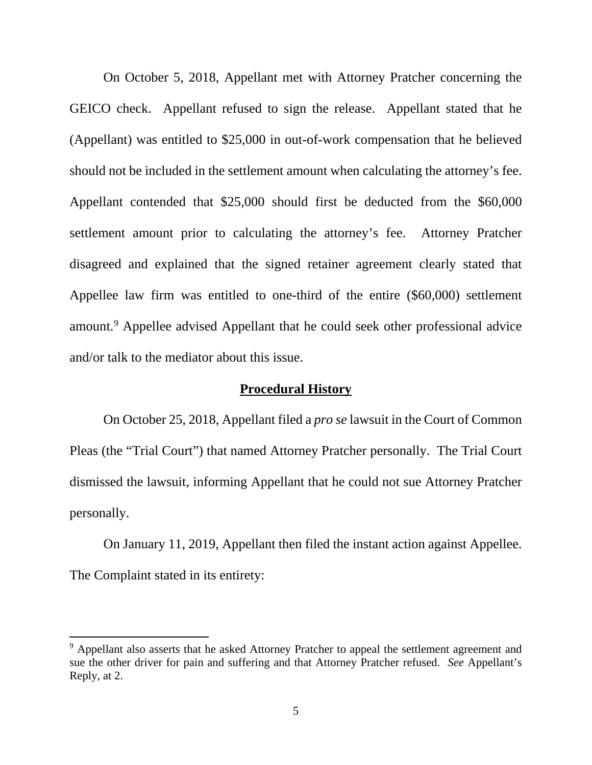On October 5, 2018, Appellant met with Attorney Pratcher concerning the GEICO check. Appellant refused to sign the release. Appellant stated that he (Appellant) was entitled to \$25,000 in out-of-work compensation that he believed should not be included in the settlement amount when calculating the attorney's fee. Appellant contended that \$25,000 should first be deducted from the \$60,000 settlement amount prior to calculating the attorney's fee. Attorney Pratcher disagreed and explained that the signed retainer agreement clearly stated that Appellee law firm was entitled to one-third of the entire (\$60,000) settlement amount.[9](#page-5-0) Appellee advised Appellant that he could seek other professional advice and/or talk to the mediator about this issue.

## **Procedural History**

 On October 25, 2018, Appellant filed a *pro se* lawsuit in the Court of Common Pleas (the "Trial Court") that named Attorney Pratcher personally. The Trial Court dismissed the lawsuit, informing Appellant that he could not sue Attorney Pratcher personally.

 On January 11, 2019, Appellant then filed the instant action against Appellee. The Complaint stated in its entirety:

 $\overline{a}$ 

<span id="page-5-0"></span><sup>&</sup>lt;sup>9</sup> Appellant also asserts that he asked Attorney Pratcher to appeal the settlement agreement and sue the other driver for pain and suffering and that Attorney Pratcher refused. *See* Appellant's Reply, at 2.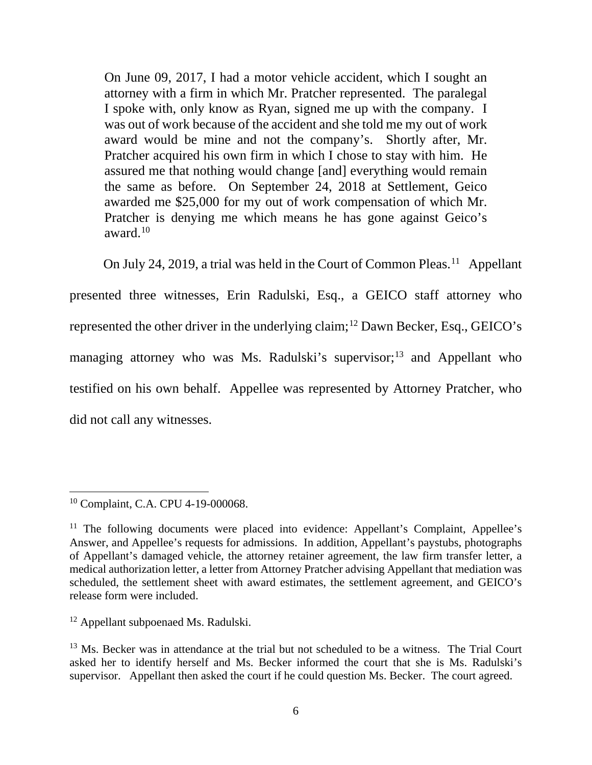On June 09, 2017, I had a motor vehicle accident, which I sought an attorney with a firm in which Mr. Pratcher represented. The paralegal I spoke with, only know as Ryan, signed me up with the company. I was out of work because of the accident and she told me my out of work award would be mine and not the company's. Shortly after, Mr. Pratcher acquired his own firm in which I chose to stay with him. He assured me that nothing would change [and] everything would remain the same as before. On September 24, 2018 at Settlement, Geico awarded me \$25,000 for my out of work compensation of which Mr. Pratcher is denying me which means he has gone against Geico's award. $10$ 

On July 24, 2019, a trial was held in the Court of Common Pleas.<sup>[11](#page-6-1)</sup> Appellant presented three witnesses, Erin Radulski, Esq., a GEICO staff attorney who represented the other driver in the underlying claim;<sup>[12](#page-6-2)</sup> Dawn Becker, Esq., GEICO's managing attorney who was Ms. Radulski's supervisor;<sup>[13](#page-6-3)</sup> and Appellant who testified on his own behalf. Appellee was represented by Attorney Pratcher, who did not call any witnesses.

 $\overline{\phantom{a}}$ 

<span id="page-6-2"></span><sup>12</sup> Appellant subpoenaed Ms. Radulski.

<span id="page-6-0"></span><sup>&</sup>lt;sup>10</sup> Complaint, C.A. CPU 4-19-000068.

<span id="page-6-1"></span><sup>&</sup>lt;sup>11</sup> The following documents were placed into evidence: Appellant's Complaint, Appellee's Answer, and Appellee's requests for admissions. In addition, Appellant's paystubs, photographs of Appellant's damaged vehicle, the attorney retainer agreement, the law firm transfer letter, a medical authorization letter, a letter from Attorney Pratcher advising Appellant that mediation was scheduled, the settlement sheet with award estimates, the settlement agreement, and GEICO's release form were included.

<span id="page-6-3"></span><sup>&</sup>lt;sup>13</sup> Ms. Becker was in attendance at the trial but not scheduled to be a witness. The Trial Court asked her to identify herself and Ms. Becker informed the court that she is Ms. Radulski's supervisor. Appellant then asked the court if he could question Ms. Becker. The court agreed.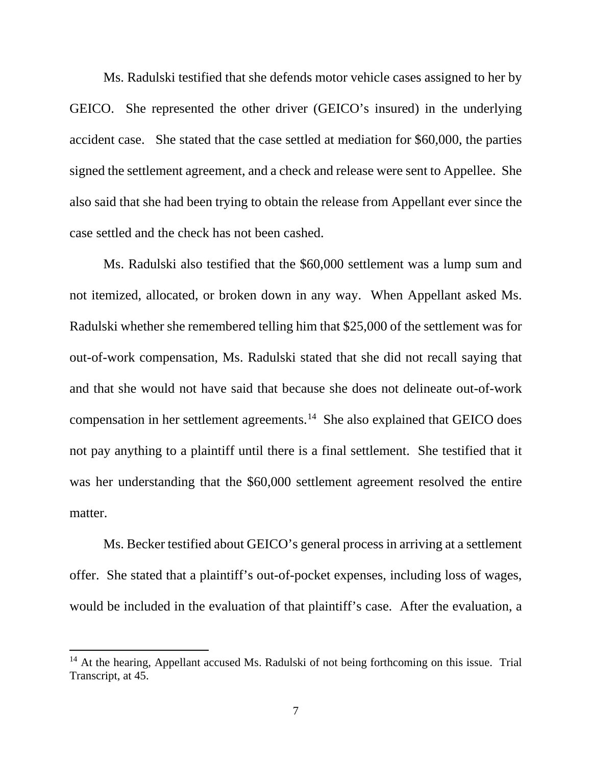Ms. Radulski testified that she defends motor vehicle cases assigned to her by GEICO. She represented the other driver (GEICO's insured) in the underlying accident case. She stated that the case settled at mediation for \$60,000, the parties signed the settlement agreement, and a check and release were sent to Appellee. She also said that she had been trying to obtain the release from Appellant ever since the case settled and the check has not been cashed.

 Ms. Radulski also testified that the \$60,000 settlement was a lump sum and not itemized, allocated, or broken down in any way. When Appellant asked Ms. Radulski whether she remembered telling him that \$25,000 of the settlement was for out-of-work compensation, Ms. Radulski stated that she did not recall saying that and that she would not have said that because she does not delineate out-of-work compensation in her settlement agreements.[14](#page-7-0) She also explained that GEICO does not pay anything to a plaintiff until there is a final settlement. She testified that it was her understanding that the \$60,000 settlement agreement resolved the entire matter.

 Ms. Becker testified about GEICO's general process in arriving at a settlement offer. She stated that a plaintiff's out-of-pocket expenses, including loss of wages, would be included in the evaluation of that plaintiff's case. After the evaluation, a

<span id="page-7-0"></span> $14$  At the hearing, Appellant accused Ms. Radulski of not being forthcoming on this issue. Trial Transcript, at 45.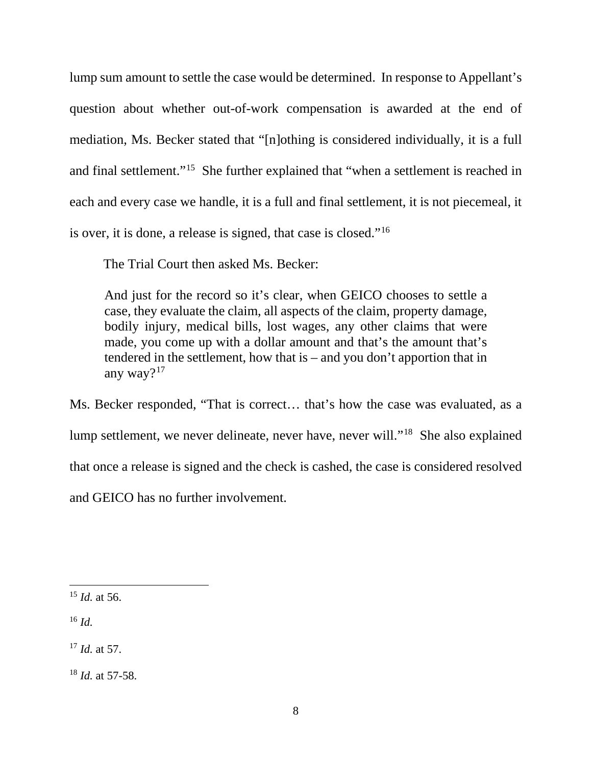lump sum amount to settle the case would be determined. In response to Appellant's question about whether out-of-work compensation is awarded at the end of mediation, Ms. Becker stated that "[n]othing is considered individually, it is a full and final settlement."[15](#page-8-0) She further explained that "when a settlement is reached in each and every case we handle, it is a full and final settlement, it is not piecemeal, it is over, it is done, a release is signed, that case is closed."[16](#page-8-1)

The Trial Court then asked Ms. Becker:

And just for the record so it's clear, when GEICO chooses to settle a case, they evaluate the claim, all aspects of the claim, property damage, bodily injury, medical bills, lost wages, any other claims that were made, you come up with a dollar amount and that's the amount that's tendered in the settlement, how that is – and you don't apportion that in any way?[17](#page-8-2)

Ms. Becker responded, "That is correct… that's how the case was evaluated, as a lump settlement, we never delineate, never have, never will."[18](#page-8-3) She also explained that once a release is signed and the check is cashed, the case is considered resolved and GEICO has no further involvement.

<span id="page-8-1"></span><sup>16</sup> *Id.*

 $\overline{a}$ 

<span id="page-8-2"></span><sup>17</sup> *Id.* at 57.

<span id="page-8-3"></span><sup>18</sup> *Id.* at 57-58.

<span id="page-8-0"></span><sup>15</sup> *Id.* at 56.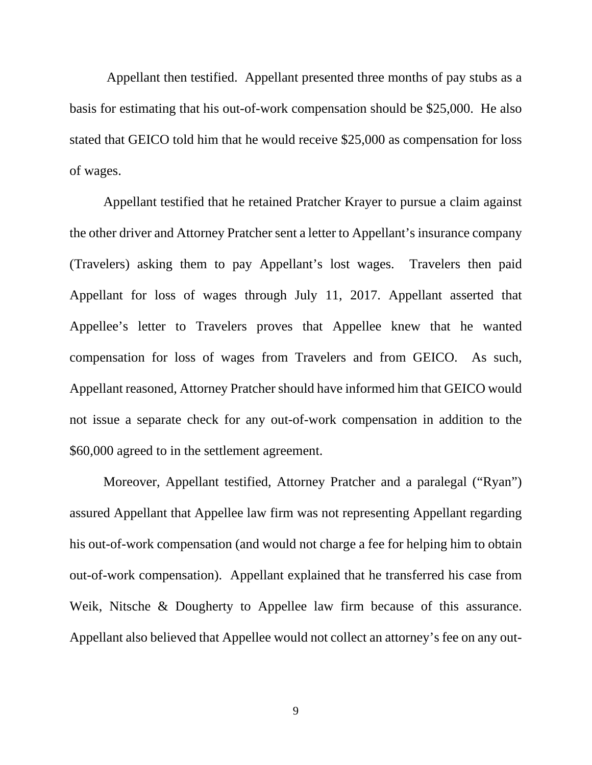Appellant then testified. Appellant presented three months of pay stubs as a basis for estimating that his out-of-work compensation should be \$25,000. He also stated that GEICO told him that he would receive \$25,000 as compensation for loss of wages.

 Appellant testified that he retained Pratcher Krayer to pursue a claim against the other driver and Attorney Pratcher sent a letter to Appellant's insurance company (Travelers) asking them to pay Appellant's lost wages. Travelers then paid Appellant for loss of wages through July 11, 2017. Appellant asserted that Appellee's letter to Travelers proves that Appellee knew that he wanted compensation for loss of wages from Travelers and from GEICO. As such, Appellant reasoned, Attorney Pratcher should have informed him that GEICO would not issue a separate check for any out-of-work compensation in addition to the \$60,000 agreed to in the settlement agreement.

 Moreover, Appellant testified, Attorney Pratcher and a paralegal ("Ryan") assured Appellant that Appellee law firm was not representing Appellant regarding his out-of-work compensation (and would not charge a fee for helping him to obtain out-of-work compensation). Appellant explained that he transferred his case from Weik, Nitsche & Dougherty to Appellee law firm because of this assurance. Appellant also believed that Appellee would not collect an attorney's fee on any out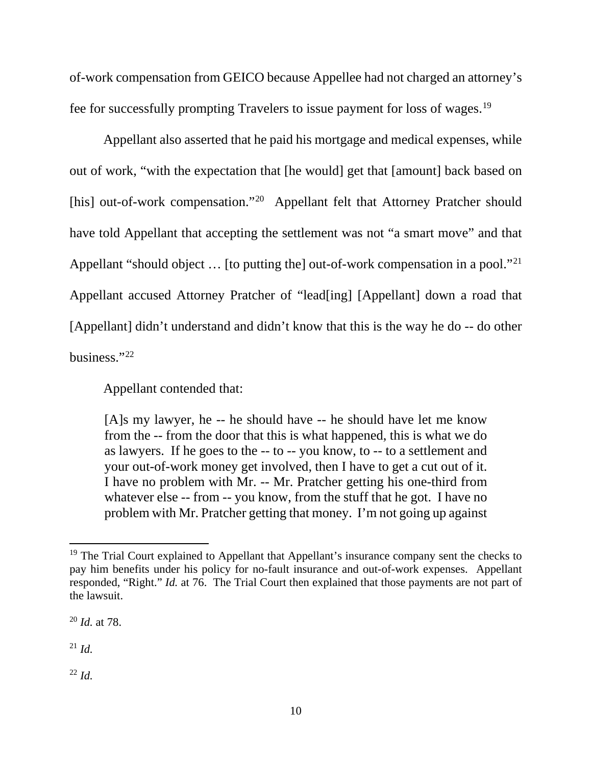of-work compensation from GEICO because Appellee had not charged an attorney's fee for successfully prompting Travelers to issue payment for loss of wages.[19](#page-10-0)

 Appellant also asserted that he paid his mortgage and medical expenses, while out of work, "with the expectation that [he would] get that [amount] back based on [his] out-of-work compensation."<sup>[20](#page-10-1)</sup> Appellant felt that Attorney Pratcher should have told Appellant that accepting the settlement was not "a smart move" and that Appellant "should object ... [to putting the] out-of-work compensation in a pool."<sup>[21](#page-10-2)</sup> Appellant accused Attorney Pratcher of "lead[ing] [Appellant] down a road that [Appellant] didn't understand and didn't know that this is the way he do -- do other business."[22](#page-10-3) 

Appellant contended that:

[A]s my lawyer, he -- he should have -- he should have let me know from the -- from the door that this is what happened, this is what we do as lawyers. If he goes to the -- to -- you know, to -- to a settlement and your out-of-work money get involved, then I have to get a cut out of it. I have no problem with Mr. -- Mr. Pratcher getting his one-third from whatever else -- from -- you know, from the stuff that he got. I have no problem with Mr. Pratcher getting that money. I'm not going up against

<span id="page-10-1"></span><sup>20</sup> *Id.* at 78.

<span id="page-10-2"></span> $^{21}$  *Id.* 

l

<span id="page-10-3"></span><sup>22</sup> *Id.*

<span id="page-10-0"></span><sup>&</sup>lt;sup>19</sup> The Trial Court explained to Appellant that Appellant's insurance company sent the checks to pay him benefits under his policy for no-fault insurance and out-of-work expenses. Appellant responded, "Right." *Id.* at 76. The Trial Court then explained that those payments are not part of the lawsuit.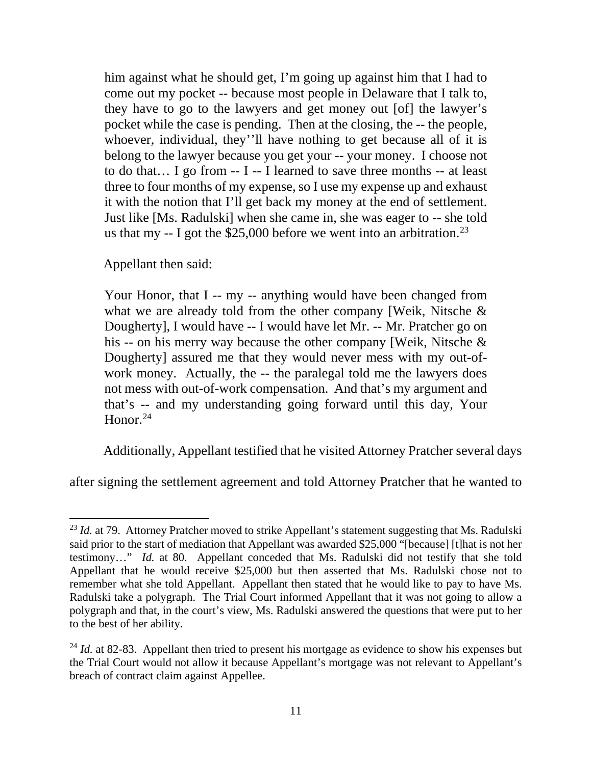him against what he should get, I'm going up against him that I had to come out my pocket -- because most people in Delaware that I talk to, they have to go to the lawyers and get money out [of] the lawyer's pocket while the case is pending. Then at the closing, the -- the people, whoever, individual, they''ll have nothing to get because all of it is belong to the lawyer because you get your -- your money. I choose not to do that… I go from -- I -- I learned to save three months -- at least three to four months of my expense, so I use my expense up and exhaust it with the notion that I'll get back my money at the end of settlement. Just like [Ms. Radulski] when she came in, she was eager to -- she told us that my  $-$  I got the \$25,000 before we went into an arbitration.<sup>[23](#page-11-0)</sup>

Appellant then said:

 $\overline{a}$ 

Your Honor, that I -- my -- anything would have been changed from what we are already told from the other company [Weik, Nitsche & Dougherty], I would have -- I would have let Mr. -- Mr. Pratcher go on his -- on his merry way because the other company [Weik, Nitsche & Dougherty] assured me that they would never mess with my out-ofwork money. Actually, the -- the paralegal told me the lawyers does not mess with out-of-work compensation. And that's my argument and that's -- and my understanding going forward until this day, Your Honor. $24$ 

Additionally, Appellant testified that he visited Attorney Pratcher several days

after signing the settlement agreement and told Attorney Pratcher that he wanted to

<span id="page-11-0"></span><sup>&</sup>lt;sup>23</sup> *Id.* at 79. Attorney Pratcher moved to strike Appellant's statement suggesting that Ms. Radulski said prior to the start of mediation that Appellant was awarded \$25,000 "[because] [t]hat is not her testimony…" *Id.* at 80. Appellant conceded that Ms. Radulski did not testify that she told Appellant that he would receive \$25,000 but then asserted that Ms. Radulski chose not to remember what she told Appellant. Appellant then stated that he would like to pay to have Ms. Radulski take a polygraph. The Trial Court informed Appellant that it was not going to allow a polygraph and that, in the court's view, Ms. Radulski answered the questions that were put to her to the best of her ability.

<span id="page-11-1"></span><sup>&</sup>lt;sup>24</sup> *Id.* at 82-83. Appellant then tried to present his mortgage as evidence to show his expenses but the Trial Court would not allow it because Appellant's mortgage was not relevant to Appellant's breach of contract claim against Appellee.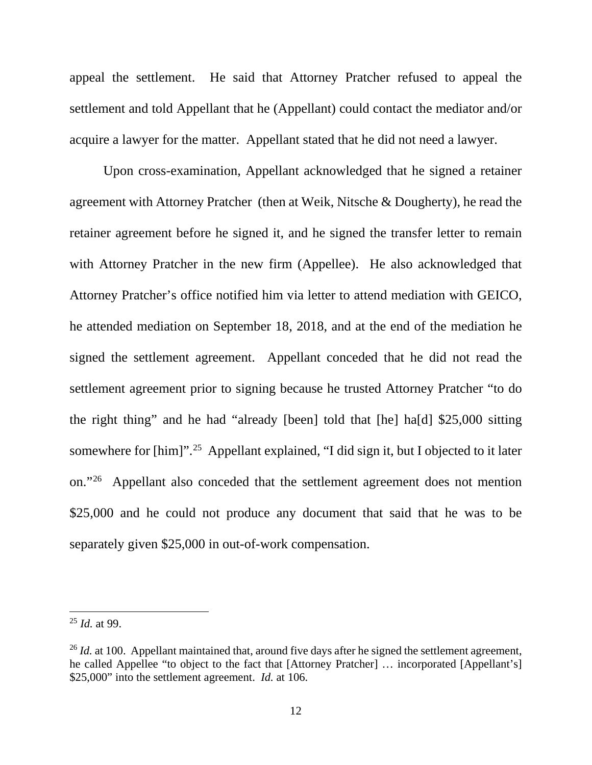appeal the settlement. He said that Attorney Pratcher refused to appeal the settlement and told Appellant that he (Appellant) could contact the mediator and/or acquire a lawyer for the matter. Appellant stated that he did not need a lawyer.

 Upon cross-examination, Appellant acknowledged that he signed a retainer agreement with Attorney Pratcher (then at Weik, Nitsche & Dougherty), he read the retainer agreement before he signed it, and he signed the transfer letter to remain with Attorney Pratcher in the new firm (Appellee). He also acknowledged that Attorney Pratcher's office notified him via letter to attend mediation with GEICO, he attended mediation on September 18, 2018, and at the end of the mediation he signed the settlement agreement. Appellant conceded that he did not read the settlement agreement prior to signing because he trusted Attorney Pratcher "to do the right thing" and he had "already [been] told that [he] ha[d] \$25,000 sitting somewhere for [him]"<sup>25</sup> Appellant explained, "I did sign it, but I objected to it later on."[26](#page-12-1) Appellant also conceded that the settlement agreement does not mention \$25,000 and he could not produce any document that said that he was to be separately given \$25,000 in out-of-work compensation.

<span id="page-12-0"></span><sup>25</sup> *Id.* at 99.

<span id="page-12-1"></span><sup>&</sup>lt;sup>26</sup> *Id.* at 100. Appellant maintained that, around five days after he signed the settlement agreement, he called Appellee "to object to the fact that [Attorney Pratcher] … incorporated [Appellant's] \$25,000" into the settlement agreement. *Id.* at 106.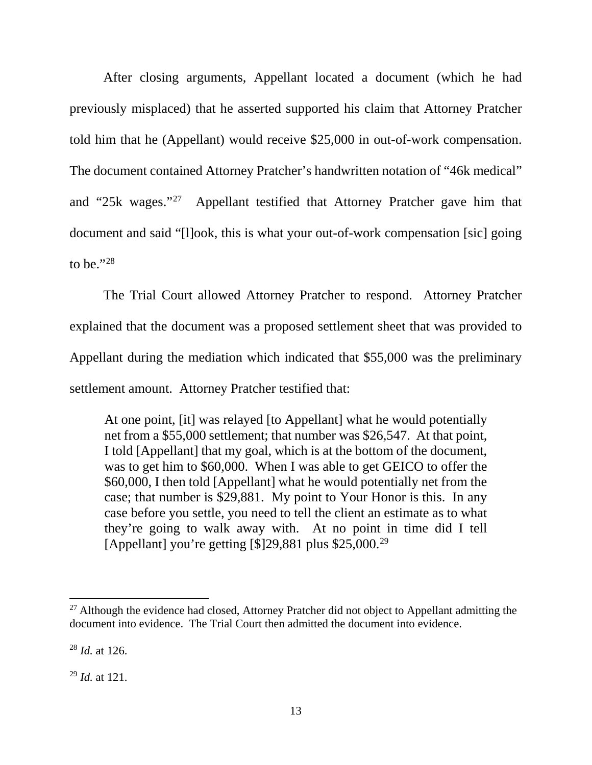After closing arguments, Appellant located a document (which he had previously misplaced) that he asserted supported his claim that Attorney Pratcher told him that he (Appellant) would receive \$25,000 in out-of-work compensation. The document contained Attorney Pratcher's handwritten notation of "46k medical" and "25k wages."[27](#page-13-0) Appellant testified that Attorney Pratcher gave him that document and said "[l]ook, this is what your out-of-work compensation [sic] going to be." $^{28}$  $^{28}$  $^{28}$ 

 The Trial Court allowed Attorney Pratcher to respond. Attorney Pratcher explained that the document was a proposed settlement sheet that was provided to Appellant during the mediation which indicated that \$55,000 was the preliminary settlement amount. Attorney Pratcher testified that:

At one point, [it] was relayed [to Appellant] what he would potentially net from a \$55,000 settlement; that number was \$26,547. At that point, I told [Appellant] that my goal, which is at the bottom of the document, was to get him to \$60,000. When I was able to get GEICO to offer the \$60,000, I then told [Appellant] what he would potentially net from the case; that number is \$29,881. My point to Your Honor is this. In any case before you settle, you need to tell the client an estimate as to what they're going to walk away with. At no point in time did I tell [Appellant] you're getting  $\lceil $ \rceil 29,881$  $\lceil $ \rceil 29,881$  $\lceil $ \rceil 29,881$  plus \$25,000.<sup>29</sup>

<span id="page-13-0"></span> $27$  Although the evidence had closed, Attorney Pratcher did not object to Appellant admitting the document into evidence. The Trial Court then admitted the document into evidence.

<span id="page-13-1"></span><sup>28</sup> *Id.* at 126.

<span id="page-13-2"></span><sup>29</sup> *Id.* at 121.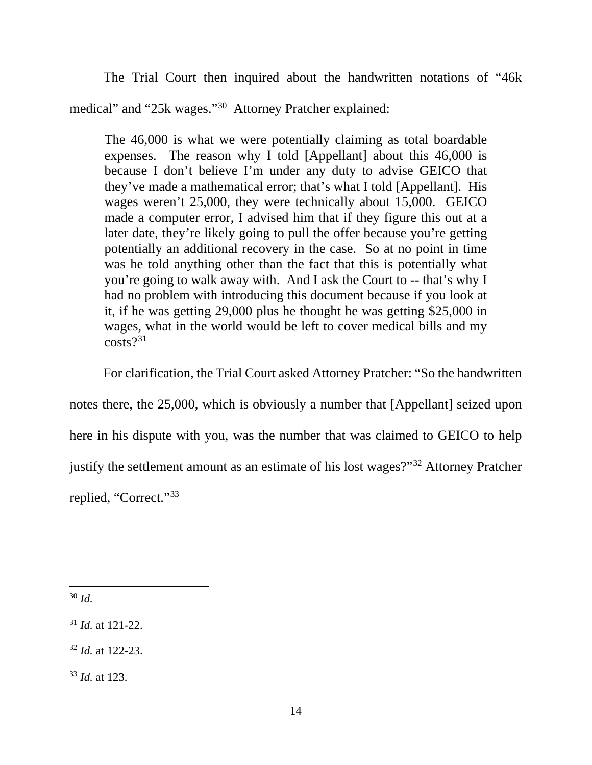The Trial Court then inquired about the handwritten notations of "46k medical" and "25k wages."[30](#page-14-0) Attorney Pratcher explained:

The 46,000 is what we were potentially claiming as total boardable expenses. The reason why I told [Appellant] about this 46,000 is because I don't believe I'm under any duty to advise GEICO that they've made a mathematical error; that's what I told [Appellant]. His wages weren't 25,000, they were technically about 15,000. GEICO made a computer error, I advised him that if they figure this out at a later date, they're likely going to pull the offer because you're getting potentially an additional recovery in the case. So at no point in time was he told anything other than the fact that this is potentially what you're going to walk away with. And I ask the Court to -- that's why I had no problem with introducing this document because if you look at it, if he was getting 29,000 plus he thought he was getting \$25,000 in wages, what in the world would be left to cover medical bills and my  $costs$ ?<sup>[31](#page-14-1)</sup>

For clarification, the Trial Court asked Attorney Pratcher: "So the handwritten

notes there, the 25,000, which is obviously a number that [Appellant] seized upon

here in his dispute with you, was the number that was claimed to GEICO to help

justify the settlement amount as an estimate of his lost wages?"[32](#page-14-2) Attorney Pratcher

replied, "Correct."<sup>[33](#page-14-3)</sup>

<span id="page-14-0"></span>l <sup>30</sup> *Id.*

<span id="page-14-1"></span><sup>31</sup> *Id.* at 121-22.

<span id="page-14-2"></span><sup>32</sup> *Id.* at 122-23.

<span id="page-14-3"></span><sup>33</sup> *Id.* at 123.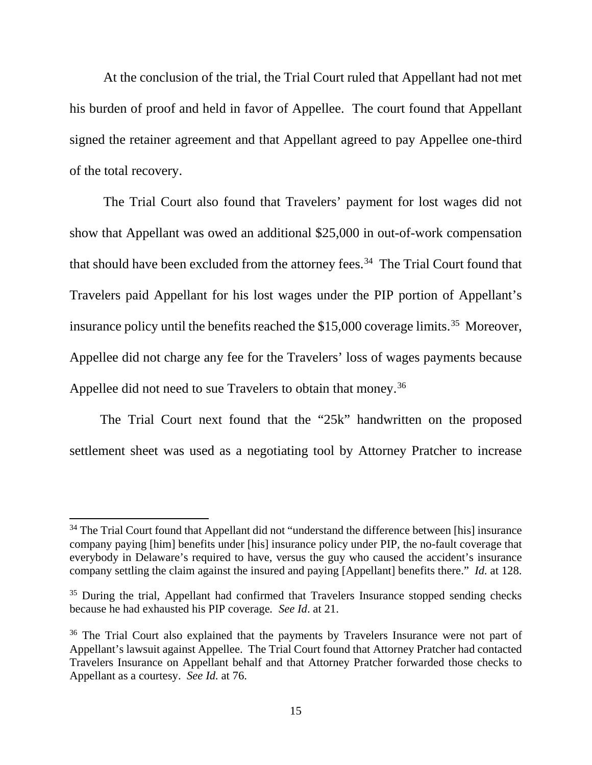At the conclusion of the trial, the Trial Court ruled that Appellant had not met his burden of proof and held in favor of Appellee. The court found that Appellant signed the retainer agreement and that Appellant agreed to pay Appellee one-third of the total recovery.

 The Trial Court also found that Travelers' payment for lost wages did not show that Appellant was owed an additional \$25,000 in out-of-work compensation that should have been excluded from the attorney fees.<sup>34</sup> The Trial Court found that Travelers paid Appellant for his lost wages under the PIP portion of Appellant's insurance policy until the benefits reached the \$15,000 coverage limits. [35](#page-15-1) Moreover, Appellee did not charge any fee for the Travelers' loss of wages payments because Appellee did not need to sue Travelers to obtain that money. [36](#page-15-2)

 The Trial Court next found that the "25k" handwritten on the proposed settlement sheet was used as a negotiating tool by Attorney Pratcher to increase

 $\overline{a}$ 

<span id="page-15-0"></span><sup>&</sup>lt;sup>34</sup> The Trial Court found that Appellant did not "understand the difference between [his] insurance company paying [him] benefits under [his] insurance policy under PIP, the no-fault coverage that everybody in Delaware's required to have, versus the guy who caused the accident's insurance company settling the claim against the insured and paying [Appellant] benefits there." *Id.* at 128.

<span id="page-15-1"></span> $35$  During the trial, Appellant had confirmed that Travelers Insurance stopped sending checks because he had exhausted his PIP coverage*. See Id*. at 21.

<span id="page-15-2"></span><sup>&</sup>lt;sup>36</sup> The Trial Court also explained that the payments by Travelers Insurance were not part of Appellant's lawsuit against Appellee. The Trial Court found that Attorney Pratcher had contacted Travelers Insurance on Appellant behalf and that Attorney Pratcher forwarded those checks to Appellant as a courtesy. *See Id.* at 76.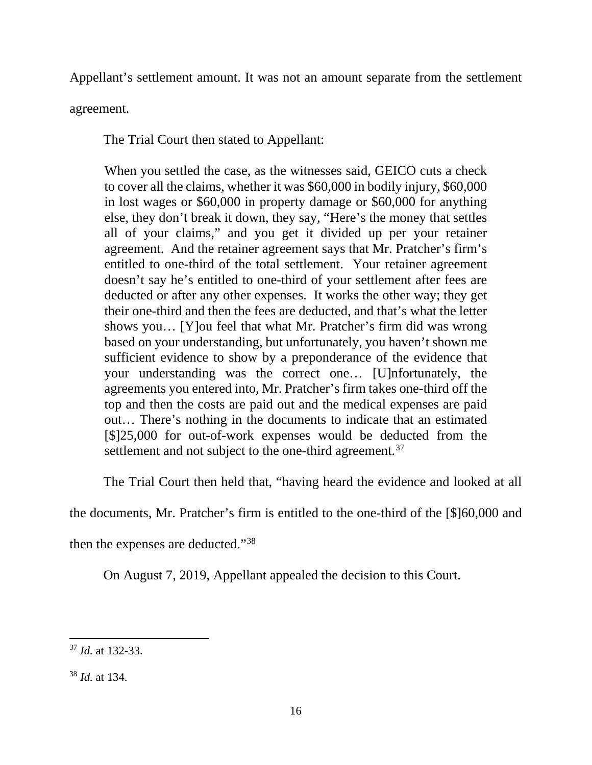Appellant's settlement amount. It was not an amount separate from the settlement

agreement.

The Trial Court then stated to Appellant:

When you settled the case, as the witnesses said, GEICO cuts a check to cover all the claims, whether it was \$60,000 in bodily injury, \$60,000 in lost wages or \$60,000 in property damage or \$60,000 for anything else, they don't break it down, they say, "Here's the money that settles all of your claims," and you get it divided up per your retainer agreement. And the retainer agreement says that Mr. Pratcher's firm's entitled to one-third of the total settlement. Your retainer agreement doesn't say he's entitled to one-third of your settlement after fees are deducted or after any other expenses. It works the other way; they get their one-third and then the fees are deducted, and that's what the letter shows you… [Y]ou feel that what Mr. Pratcher's firm did was wrong based on your understanding, but unfortunately, you haven't shown me sufficient evidence to show by a preponderance of the evidence that your understanding was the correct one… [U]nfortunately, the agreements you entered into, Mr. Pratcher's firm takes one-third off the top and then the costs are paid out and the medical expenses are paid out… There's nothing in the documents to indicate that an estimated [\$]25,000 for out-of-work expenses would be deducted from the settlement and not subject to the one-third agreement.<sup>[37](#page-16-0)</sup>

The Trial Court then held that, "having heard the evidence and looked at all

the documents, Mr. Pratcher's firm is entitled to the one-third of the [\$]60,000 and

then the expenses are deducted."[38](#page-16-1)

On August 7, 2019, Appellant appealed the decision to this Court.

<span id="page-16-0"></span>l <sup>37</sup> *Id.* at 132-33.

<span id="page-16-1"></span><sup>38</sup> *Id.* at 134.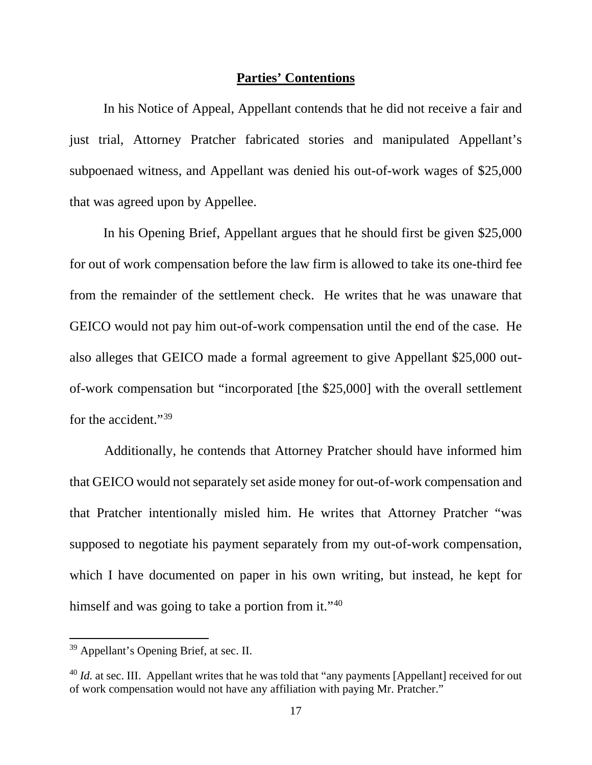### **Parties' Contentions**

 In his Notice of Appeal, Appellant contends that he did not receive a fair and just trial, Attorney Pratcher fabricated stories and manipulated Appellant's subpoenaed witness, and Appellant was denied his out-of-work wages of \$25,000 that was agreed upon by Appellee.

 In his Opening Brief, Appellant argues that he should first be given \$25,000 for out of work compensation before the law firm is allowed to take its one-third fee from the remainder of the settlement check. He writes that he was unaware that GEICO would not pay him out-of-work compensation until the end of the case. He also alleges that GEICO made a formal agreement to give Appellant \$25,000 outof-work compensation but "incorporated [the \$25,000] with the overall settlement for the accident."<sup>[39](#page-17-0)</sup>

Additionally, he contends that Attorney Pratcher should have informed him that GEICO would not separately set aside money for out-of-work compensation and that Pratcher intentionally misled him. He writes that Attorney Pratcher "was supposed to negotiate his payment separately from my out-of-work compensation, which I have documented on paper in his own writing, but instead, he kept for himself and was going to take a portion from it."<sup>[40](#page-17-1)</sup>

l

<span id="page-17-0"></span><sup>&</sup>lt;sup>39</sup> Appellant's Opening Brief, at sec. II.

<span id="page-17-1"></span><sup>&</sup>lt;sup>40</sup> *Id.* at sec. III. Appellant writes that he was told that "any payments [Appellant] received for out of work compensation would not have any affiliation with paying Mr. Pratcher."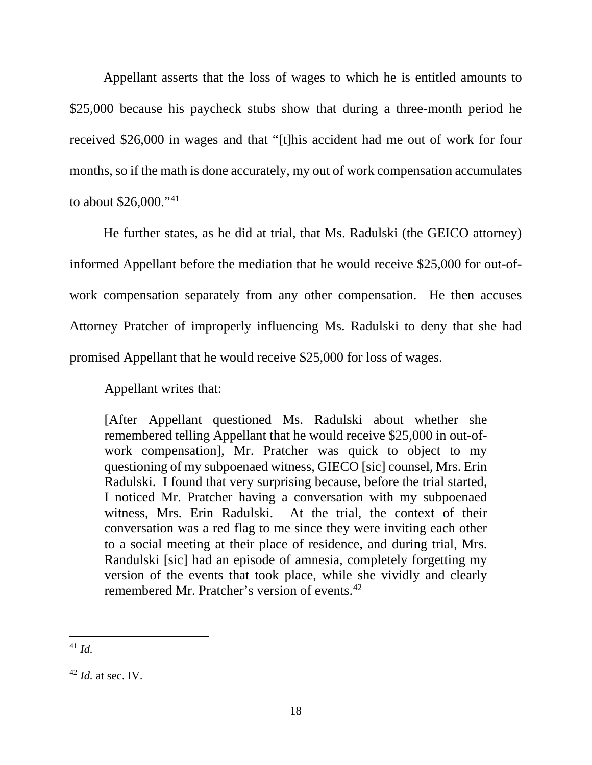Appellant asserts that the loss of wages to which he is entitled amounts to \$25,000 because his paycheck stubs show that during a three-month period he received \$26,000 in wages and that "[t]his accident had me out of work for four months, so if the math is done accurately, my out of work compensation accumulates to about \$26,000."[41](#page-18-0) 

 He further states, as he did at trial, that Ms. Radulski (the GEICO attorney) informed Appellant before the mediation that he would receive \$25,000 for out-ofwork compensation separately from any other compensation. He then accuses Attorney Pratcher of improperly influencing Ms. Radulski to deny that she had promised Appellant that he would receive \$25,000 for loss of wages.

Appellant writes that:

[After Appellant questioned Ms. Radulski about whether she remembered telling Appellant that he would receive \$25,000 in out-ofwork compensation], Mr. Pratcher was quick to object to my questioning of my subpoenaed witness, GIECO [sic] counsel, Mrs. Erin Radulski. I found that very surprising because, before the trial started, I noticed Mr. Pratcher having a conversation with my subpoenaed witness, Mrs. Erin Radulski. At the trial, the context of their conversation was a red flag to me since they were inviting each other to a social meeting at their place of residence, and during trial, Mrs. Randulski [sic] had an episode of amnesia, completely forgetting my version of the events that took place, while she vividly and clearly remembered Mr. Pratcher's version of events.<sup>[42](#page-18-1)</sup>

<span id="page-18-0"></span> $\overline{a}$ <sup>41</sup> *Id.*

<span id="page-18-1"></span> $42$  *Id.* at sec. IV.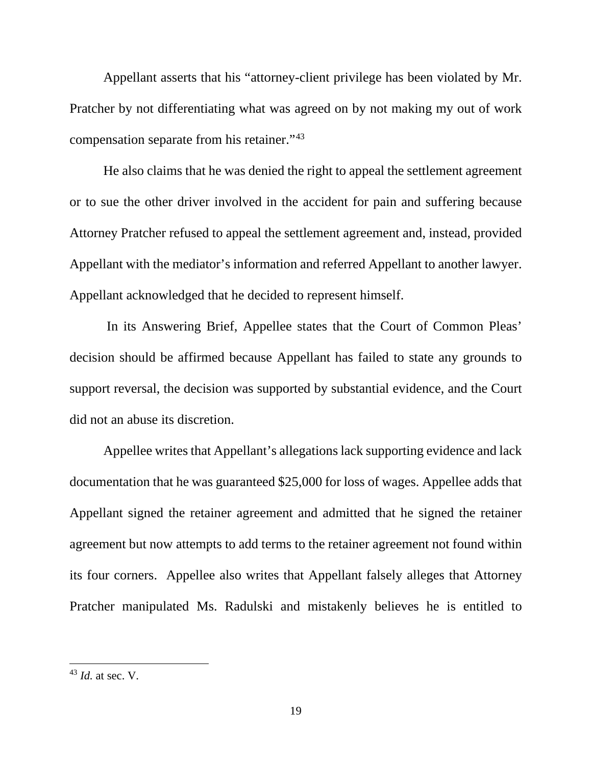Appellant asserts that his "attorney-client privilege has been violated by Mr. Pratcher by not differentiating what was agreed on by not making my out of work compensation separate from his retainer."[43](#page-19-0)

 He also claims that he was denied the right to appeal the settlement agreement or to sue the other driver involved in the accident for pain and suffering because Attorney Pratcher refused to appeal the settlement agreement and, instead, provided Appellant with the mediator's information and referred Appellant to another lawyer. Appellant acknowledged that he decided to represent himself.

 In its Answering Brief, Appellee states that the Court of Common Pleas' decision should be affirmed because Appellant has failed to state any grounds to support reversal, the decision was supported by substantial evidence, and the Court did not an abuse its discretion.

 Appellee writes that Appellant's allegations lack supporting evidence and lack documentation that he was guaranteed \$25,000 for loss of wages. Appellee adds that Appellant signed the retainer agreement and admitted that he signed the retainer agreement but now attempts to add terms to the retainer agreement not found within its four corners. Appellee also writes that Appellant falsely alleges that Attorney Pratcher manipulated Ms. Radulski and mistakenly believes he is entitled to

<span id="page-19-0"></span><sup>43</sup> *Id.* at sec. V.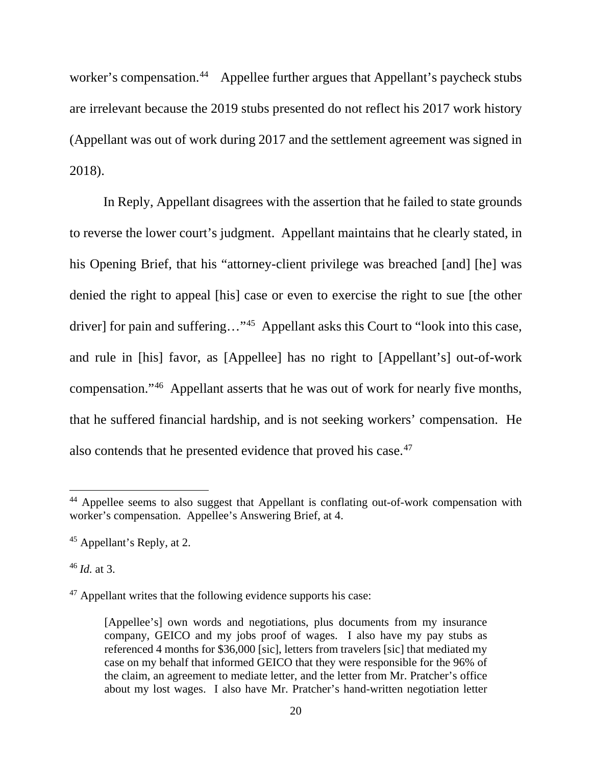worker's compensation.<sup>44</sup> Appellee further argues that Appellant's paycheck stubs are irrelevant because the 2019 stubs presented do not reflect his 2017 work history (Appellant was out of work during 2017 and the settlement agreement was signed in 2018).

 In Reply, Appellant disagrees with the assertion that he failed to state grounds to reverse the lower court's judgment. Appellant maintains that he clearly stated, in his Opening Brief, that his "attorney-client privilege was breached [and] [he] was denied the right to appeal [his] case or even to exercise the right to sue [the other driver] for pain and suffering…"[45](#page-20-1) Appellant asks this Court to "look into this case, and rule in [his] favor, as [Appellee] has no right to [Appellant's] out-of-work compensation."[46](#page-20-2) Appellant asserts that he was out of work for nearly five months, that he suffered financial hardship, and is not seeking workers' compensation. He also contends that he presented evidence that proved his case.<sup>[47](#page-20-3)</sup>

<span id="page-20-2"></span><sup>46</sup> *Id.* at 3.

 $\overline{a}$ 

<span id="page-20-0"></span><sup>&</sup>lt;sup>44</sup> Appellee seems to also suggest that Appellant is conflating out-of-work compensation with worker's compensation. Appellee's Answering Brief, at 4.

<span id="page-20-1"></span><sup>45</sup> Appellant's Reply, at 2.

<span id="page-20-3"></span> $47$  Appellant writes that the following evidence supports his case:

<sup>[</sup>Appellee's] own words and negotiations, plus documents from my insurance company, GEICO and my jobs proof of wages. I also have my pay stubs as referenced 4 months for \$36,000 [sic], letters from travelers [sic] that mediated my case on my behalf that informed GEICO that they were responsible for the 96% of the claim, an agreement to mediate letter, and the letter from Mr. Pratcher's office about my lost wages. I also have Mr. Pratcher's hand-written negotiation letter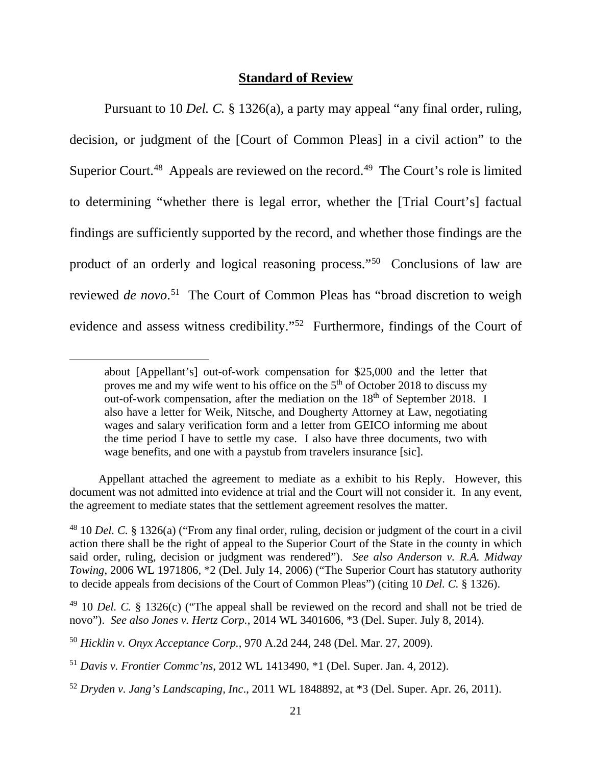## **Standard of Review**

Pursuant to 10 *Del. C.* § 1326(a), a party may appeal "any final order, ruling, decision, or judgment of the [Court of Common Pleas] in a civil action" to the Superior Court.<sup>[48](#page-21-0)</sup> Appeals are reviewed on the record.<sup>49</sup> The Court's role is limited to determining "whether there is legal error, whether the [Trial Court's] factual findings are sufficiently supported by the record, and whether those findings are the product of an orderly and logical reasoning process."[50](#page-21-2) Conclusions of law are reviewed *de novo*. [51](#page-21-3) The Court of Common Pleas has "broad discretion to weigh evidence and assess witness credibility."[52](#page-21-4) Furthermore, findings of the Court of

 $\overline{a}$ 

 Appellant attached the agreement to mediate as a exhibit to his Reply. However, this document was not admitted into evidence at trial and the Court will not consider it. In any event, the agreement to mediate states that the settlement agreement resolves the matter.

<span id="page-21-0"></span><sup>48</sup> 10 *Del. C.* § 1326(a) ("From any final order, ruling, decision or judgment of the court in a civil action there shall be the right of appeal to the Superior Court of the State in the county in which said order, ruling, decision or judgment was rendered"). *See also Anderson v. R.A. Midway Towing*, 2006 WL 1971806, \*2 (Del. July 14, 2006) ("The Superior Court has statutory authority to decide appeals from decisions of the Court of Common Pleas") (citing 10 *Del. C.* § 1326).

about [Appellant's] out-of-work compensation for \$25,000 and the letter that proves me and my wife went to his office on the  $5<sup>th</sup>$  of October 2018 to discuss my out-of-work compensation, after the mediation on the 18<sup>th</sup> of September 2018. I also have a letter for Weik, Nitsche, and Dougherty Attorney at Law, negotiating wages and salary verification form and a letter from GEICO informing me about the time period I have to settle my case. I also have three documents, two with wage benefits, and one with a paystub from travelers insurance [sic].

<span id="page-21-1"></span><sup>49</sup> 10 *Del. C.* § 1326(c) ("The appeal shall be reviewed on the record and shall not be tried de novo"). *See also Jones v. Hertz Corp.*, 2014 WL 3401606, \*3 (Del. Super. July 8, 2014).

<span id="page-21-2"></span><sup>50</sup> *Hicklin v. Onyx Acceptance Corp.*, 970 A.2d 244, 248 (Del. Mar. 27, 2009).

<span id="page-21-3"></span><sup>51</sup> *Davis v. Frontier Commc'ns*, 2012 WL 1413490, \*1 (Del. Super. Jan. 4, 2012).

<span id="page-21-4"></span><sup>52</sup> *Dryden v. Jang's Landscaping, Inc*., 2011 WL 1848892, at \*3 (Del. Super. Apr. 26, 2011).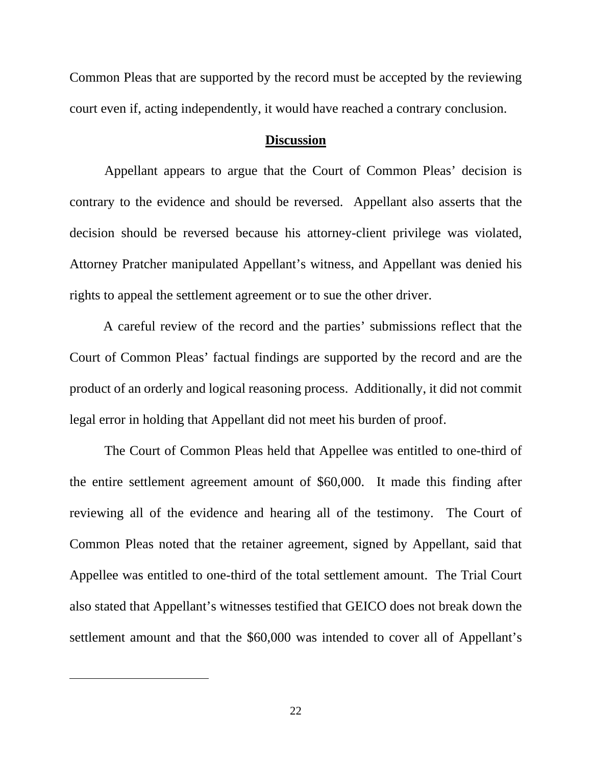Common Pleas that are supported by the record must be accepted by the reviewing court even if, acting independently, it would have reached a contrary conclusion.

#### **Discussion**

 Appellant appears to argue that the Court of Common Pleas' decision is contrary to the evidence and should be reversed. Appellant also asserts that the decision should be reversed because his attorney-client privilege was violated, Attorney Pratcher manipulated Appellant's witness, and Appellant was denied his rights to appeal the settlement agreement or to sue the other driver.

 A careful review of the record and the parties' submissions reflect that the Court of Common Pleas' factual findings are supported by the record and are the product of an orderly and logical reasoning process. Additionally, it did not commit legal error in holding that Appellant did not meet his burden of proof.

The Court of Common Pleas held that Appellee was entitled to one-third of the entire settlement agreement amount of \$60,000. It made this finding after reviewing all of the evidence and hearing all of the testimony. The Court of Common Pleas noted that the retainer agreement, signed by Appellant, said that Appellee was entitled to one-third of the total settlement amount. The Trial Court also stated that Appellant's witnesses testified that GEICO does not break down the settlement amount and that the \$60,000 was intended to cover all of Appellant's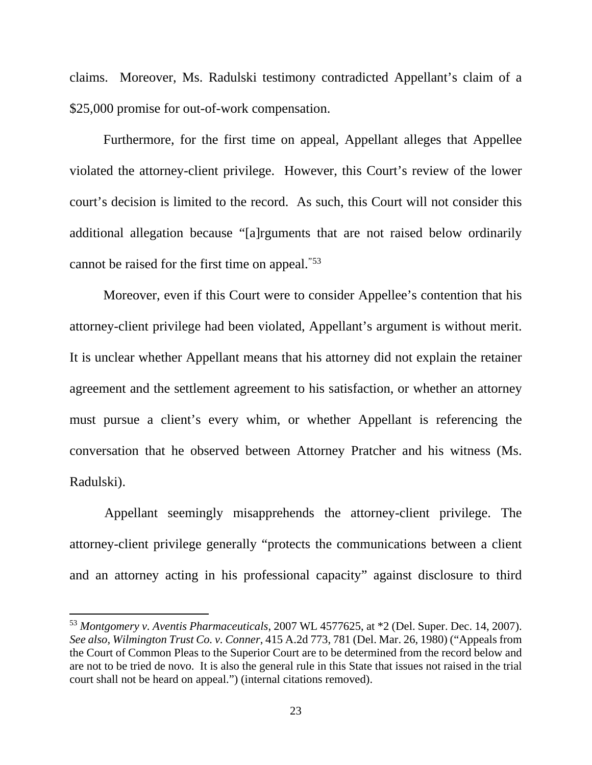claims. Moreover, Ms. Radulski testimony contradicted Appellant's claim of a \$25,000 promise for out-of-work compensation.

 Furthermore, for the first time on appeal, Appellant alleges that Appellee violated the attorney-client privilege. However, this Court's review of the lower court's decision is limited to the record. As such, this Court will not consider this additional allegation because "[a]rguments that are not raised below ordinarily cannot be raised for the first time on appeal.<sup>"[53](#page-23-0)</sup>

 Moreover, even if this Court were to consider Appellee's contention that his attorney-client privilege had been violated, Appellant's argument is without merit. It is unclear whether Appellant means that his attorney did not explain the retainer agreement and the settlement agreement to his satisfaction, or whether an attorney must pursue a client's every whim, or whether Appellant is referencing the conversation that he observed between Attorney Pratcher and his witness (Ms. Radulski).

Appellant seemingly misapprehends the attorney-client privilege. The attorney-client privilege generally "protects the communications between a client and an attorney acting in his professional capacity" against disclosure to third

l

<span id="page-23-0"></span><sup>53</sup> *Montgomery v. Aventis Pharmaceuticals*, 2007 WL 4577625, at \*2 (Del. Super. Dec. 14, 2007). *See also*, *Wilmington Trust Co. v. Conner*, 415 A.2d 773, 781 (Del. Mar. 26, 1980) ("Appeals from the Court of Common Pleas to the Superior Court are to be determined from the record below and are not to be tried de novo. It is also the general rule in this State that issues not raised in the trial court shall not be heard on appeal.") (internal citations removed).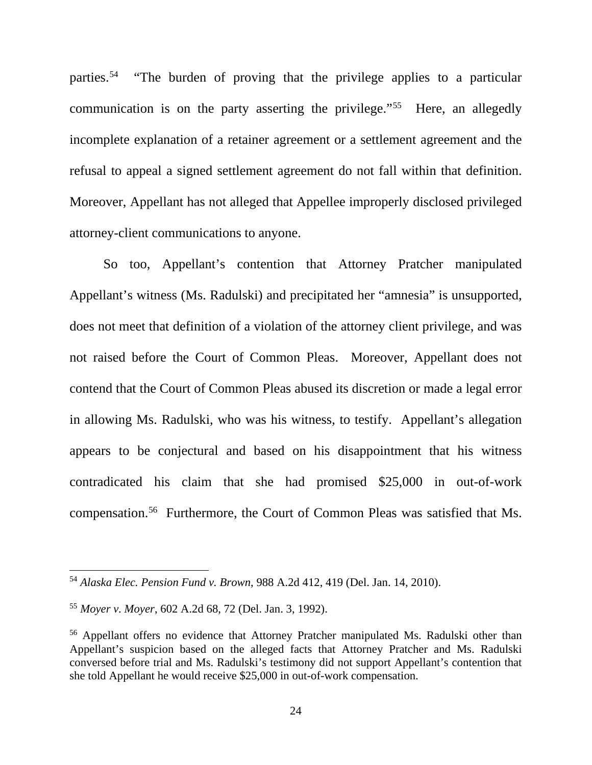parties.[54](#page-24-0) "The burden of proving that the privilege applies to a particular communication is on the party asserting the privilege."[55](#page-24-1) Here, an allegedly incomplete explanation of a retainer agreement or a settlement agreement and the refusal to appeal a signed settlement agreement do not fall within that definition. Moreover, Appellant has not alleged that Appellee improperly disclosed privileged attorney-client communications to anyone.

 So too, Appellant's contention that Attorney Pratcher manipulated Appellant's witness (Ms. Radulski) and precipitated her "amnesia" is unsupported, does not meet that definition of a violation of the attorney client privilege, and was not raised before the Court of Common Pleas. Moreover, Appellant does not contend that the Court of Common Pleas abused its discretion or made a legal error in allowing Ms. Radulski, who was his witness, to testify. Appellant's allegation appears to be conjectural and based on his disappointment that his witness contradicated his claim that she had promised \$25,000 in out-of-work compensation.[56](#page-24-2) Furthermore, the Court of Common Pleas was satisfied that Ms.

 $\overline{a}$ 

<span id="page-24-0"></span><sup>54</sup> *Alaska Elec. Pension Fund v. Brown*, 988 A.2d 412, 419 (Del. Jan. 14, 2010).

<span id="page-24-1"></span><sup>55</sup> *Moyer v. Moyer*, 602 A.2d 68, 72 (Del. Jan. 3, 1992).

<span id="page-24-2"></span><sup>56</sup> Appellant offers no evidence that Attorney Pratcher manipulated Ms. Radulski other than Appellant's suspicion based on the alleged facts that Attorney Pratcher and Ms. Radulski conversed before trial and Ms. Radulski's testimony did not support Appellant's contention that she told Appellant he would receive \$25,000 in out-of-work compensation.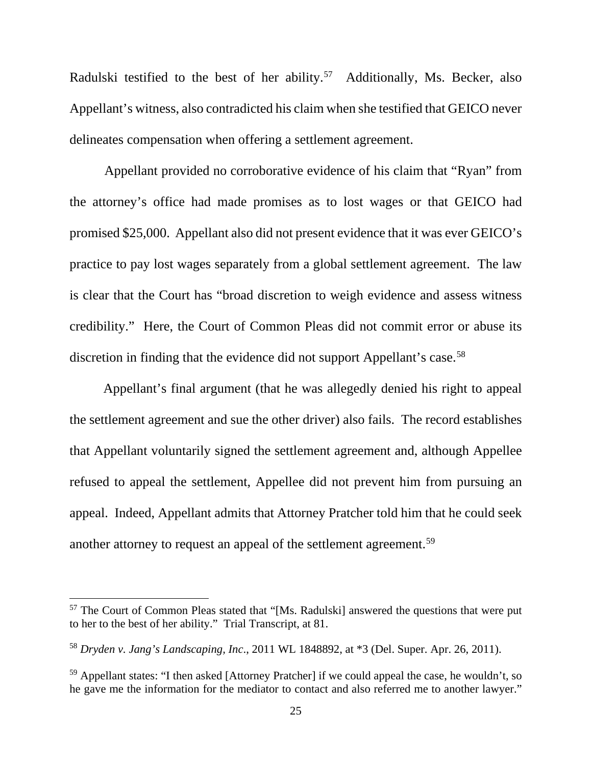Radulski testified to the best of her ability.<sup>[57](#page-25-0)</sup> Additionally, Ms. Becker, also Appellant's witness, also contradicted his claim when she testified that GEICO never delineates compensation when offering a settlement agreement.

Appellant provided no corroborative evidence of his claim that "Ryan" from the attorney's office had made promises as to lost wages or that GEICO had promised \$25,000. Appellant also did not present evidence that it was ever GEICO's practice to pay lost wages separately from a global settlement agreement. The law is clear that the Court has "broad discretion to weigh evidence and assess witness credibility." Here, the Court of Common Pleas did not commit error or abuse its discretion in finding that the evidence did not support Appellant's case. [58](#page-25-1)

 Appellant's final argument (that he was allegedly denied his right to appeal the settlement agreement and sue the other driver) also fails. The record establishes that Appellant voluntarily signed the settlement agreement and, although Appellee refused to appeal the settlement, Appellee did not prevent him from pursuing an appeal. Indeed, Appellant admits that Attorney Pratcher told him that he could seek another attorney to request an appeal of the settlement agreement.<sup>[59](#page-25-2)</sup>

<span id="page-25-0"></span><sup>&</sup>lt;sup>57</sup> The Court of Common Pleas stated that "[Ms. Radulski] answered the questions that were put to her to the best of her ability." Trial Transcript, at 81.

<span id="page-25-1"></span><sup>58</sup> *Dryden v. Jang's Landscaping, Inc*., 2011 WL 1848892, at \*3 (Del. Super. Apr. 26, 2011).

<span id="page-25-2"></span><sup>&</sup>lt;sup>59</sup> Appellant states: "I then asked [Attorney Pratcher] if we could appeal the case, he wouldn't, so he gave me the information for the mediator to contact and also referred me to another lawyer."